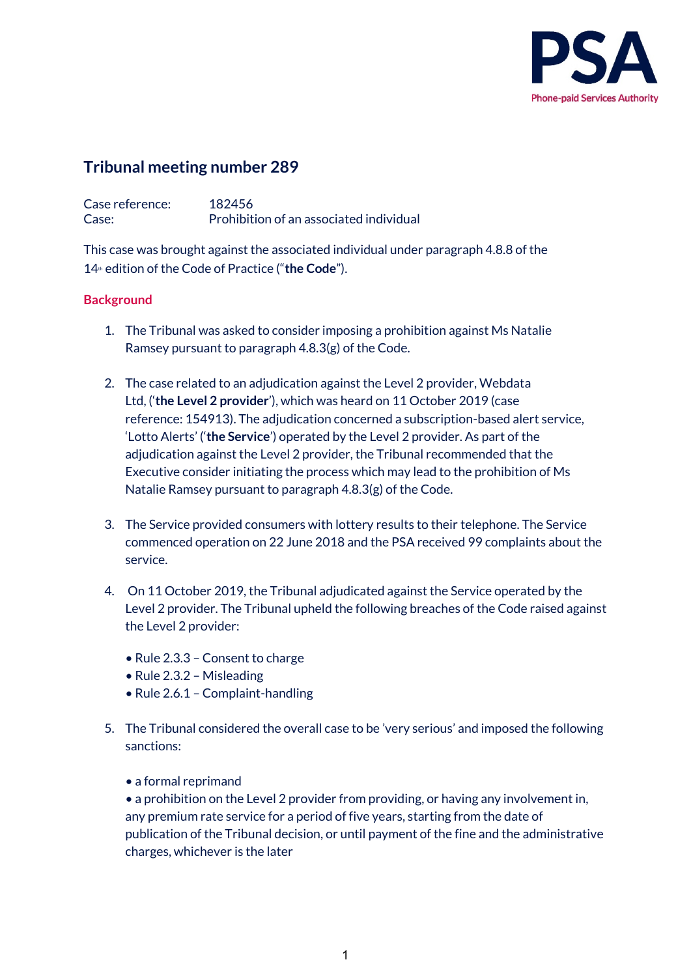

# **Tribunal meeting number 289**

Case reference: 182456 Case: Prohibition of an associated individual

This case was brought against the associated individual under paragraph 4.8.8 of the 14th edition of the Code of Practice ("**the Code**").

# **Background**

- 1. The Tribunal was asked to consider imposing a prohibition against Ms Natalie Ramsey pursuant to paragraph 4.8.3(g) of the Code.
- 2. The case related to an adjudication against the Level 2 provider, Webdata Ltd, ('**the Level 2 provider**'), which was heard on 11 October 2019 (case reference: 154913). The adjudication concerned a subscription-based alert service, 'Lotto Alerts' ('**the Service**') operated by the Level 2 provider. As part of the adjudication against the Level 2 provider, the Tribunal recommended that the Executive consider initiating the process which may lead to the prohibition of Ms Natalie Ramsey pursuant to paragraph 4.8.3(g) of the Code.
- 3. The Service provided consumers with lottery results to their telephone. The Service commenced operation on 22 June 2018 and the PSA received 99 complaints about the service.
- 4. On 11 October 2019, the Tribunal adjudicated against the Service operated by the Level 2 provider. The Tribunal upheld the following breaches of the Code raised against the Level 2 provider:
	- Rule 2.3.3 Consent to charge
	- Rule 2.3.2 Misleading
	- Rule 2.6.1 Complaint-handling
- 5. The Tribunal considered the overall case to be 'very serious' and imposed the following sanctions:
	- a formal reprimand

• a prohibition on the Level 2 provider from providing, or having any involvement in, any premium rate service for a period of five years, starting from the date of publication of the Tribunal decision, or until payment of the fine and the administrative charges, whichever is the later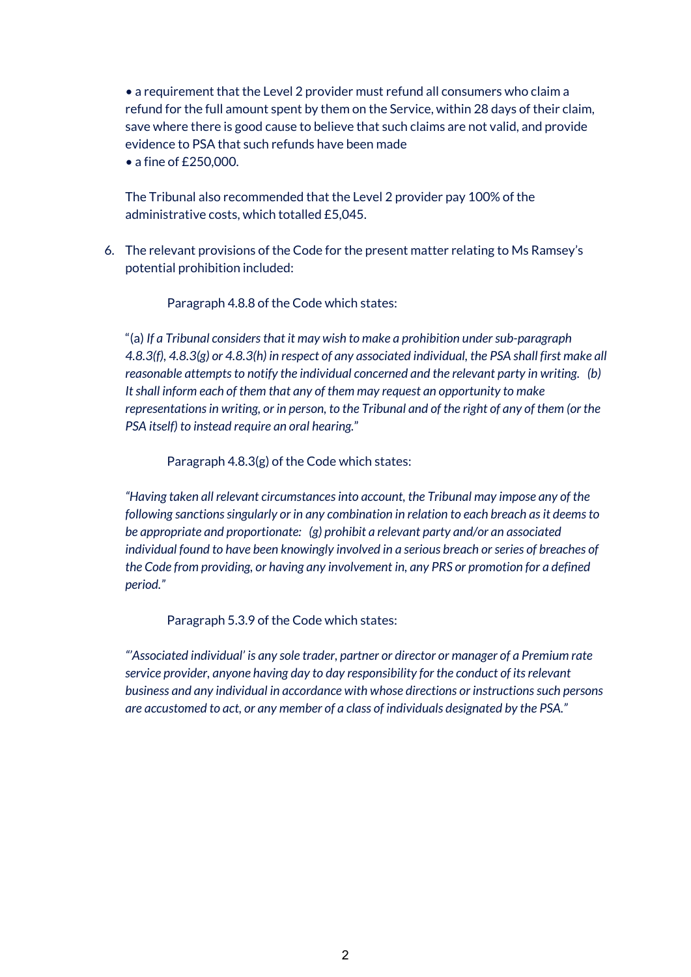• a requirement that the Level 2 provider must refund all consumers who claim a refund for the full amount spent by them on the Service, within 28 days of their claim, save where there is good cause to believe that such claims are not valid, and provide evidence to PSA that such refunds have been made

• a fine of £250,000.

The Tribunal also recommended that the Level 2 provider pay 100% of the administrative costs, which totalled £5,045.

6. The relevant provisions of the Code for the present matter relating to Ms Ramsey's potential prohibition included:

Paragraph 4.8.8 of the Code which states:  

"(a) *If a Tribunal considers that it may wish to make a prohibition under sub-paragraph 4.8.3(f), 4.8.3(g) or 4.8.3(h) in respect of any associated individual, the PSA shall first make all reasonable attempts to notify the individual concerned and the relevant party in writing.   (b) It shall inform each of them that any of them may request an opportunity to make representations in writing, or in person, to the Tribunal and of the right of any of them (or the PSA itself) to instead require an oral hearing.*"     

Paragraph 4.8.3(g) of the Code which states:      

*"Having taken all relevant circumstances into account, the Tribunal may impose any of the following sanctions singularly or in any combination in relation to each breach as it deems to be appropriate and proportionate:   (g) prohibit a relevant party and/or an associated individual found to have been knowingly involved in a serious breach or series of breaches of the Code from providing, or having any involvement in, any PRS or promotion for a defined period."*

Paragraph 5.3.9 of the Code which states:     

*"'Associated individual' is any sole trader, partner or director or manager of a Premium rate service provider, anyone having day to day responsibility for the conduct of its relevant business and any individual in accordance with whose directions or instructions such persons are accustomed to act, or any member of a class of individuals designated by the PSA."*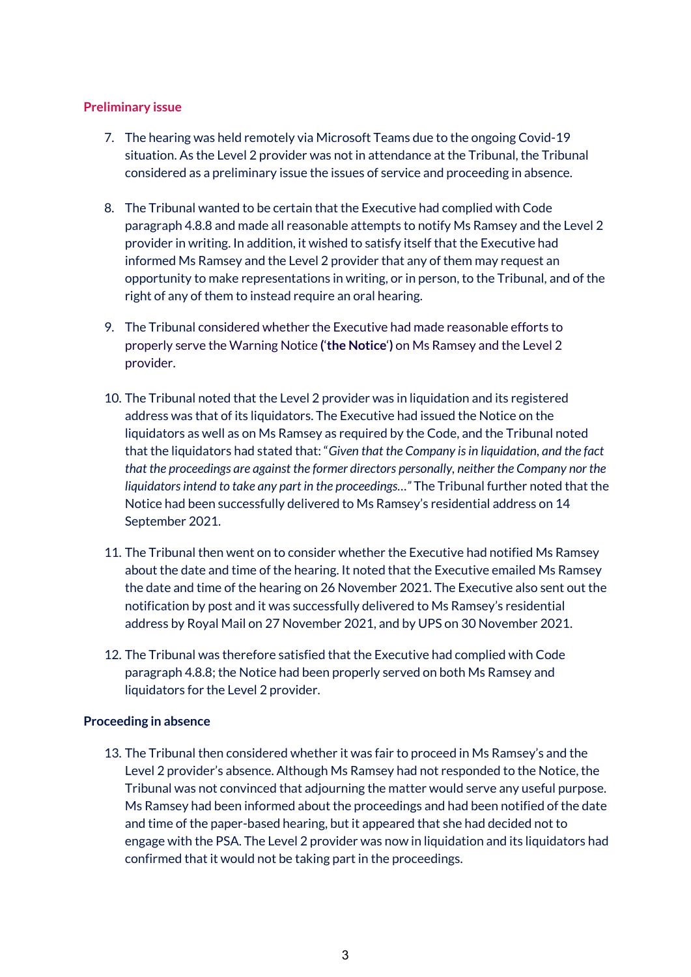### **Preliminary issue**

- 7. The hearing was held remotely via Microsoft Teams due to the ongoing Covid-19 situation. As the Level 2 provider was not in attendance at the Tribunal, the Tribunal considered as a preliminary issue the issues of service and proceeding in absence.
- 8. The Tribunal wanted to be certain that the Executive had complied with Code paragraph 4.8.8 and made all reasonable attempts to notify Ms Ramsey and the Level 2 provider in writing. In addition, it wished to satisfy itself that the Executive had informed Ms Ramsey and the Level 2 provider that any of them may request an opportunity to make representations in writing, or in person, to the Tribunal, and of the right of any of them to instead require an oral hearing.
- 9. The Tribunal considered whether the Executive had made reasonable efforts to properly serve the Warning Notice **(**'**the Notice**'**)** on Ms Ramsey and the Level 2 provider.
- 10. The Tribunal noted that the Level 2 provider was in liquidation and its registered address was that of its liquidators. The Executive had issued the Notice on the liquidators as well as on Ms Ramsey as required by the Code, and the Tribunal noted that the liquidators had stated that: "*Given that the Company is in liquidation, and the fact that the proceedings are against the former directors personally, neither the Company nor the liquidators intend to take any part in the proceedings…"* The Tribunal further noted that the Notice had been successfully delivered to Ms Ramsey's residential address on 14 September 2021.
- 11. The Tribunal then went on to consider whether the Executive had notified Ms Ramsey about the date and time of the hearing. It noted that the Executive emailed Ms Ramsey the date and time of the hearing on 26 November 2021. The Executive also sent out the notification by post and it was successfully delivered to Ms Ramsey's residential address by Royal Mail on 27 November 2021, and by UPS on 30 November 2021.
- 12. The Tribunal was therefore satisfied that the Executive had complied with Code paragraph 4.8.8; the Notice had been properly served on both Ms Ramsey and liquidators for the Level 2 provider.

#### **Proceeding in absence**

13. The Tribunal then considered whether it was fair to proceed in Ms Ramsey's and the Level 2 provider's absence. Although Ms Ramsey had not responded to the Notice, the Tribunal was not convinced that adjourning the matter would serve any useful purpose. Ms Ramsey had been informed about the proceedings and had been notified of the date and time of the paper-based hearing, but it appeared that she had decided not to engage with the PSA. The Level 2 provider was now in liquidation and its liquidators had confirmed that it would not be taking part in the proceedings.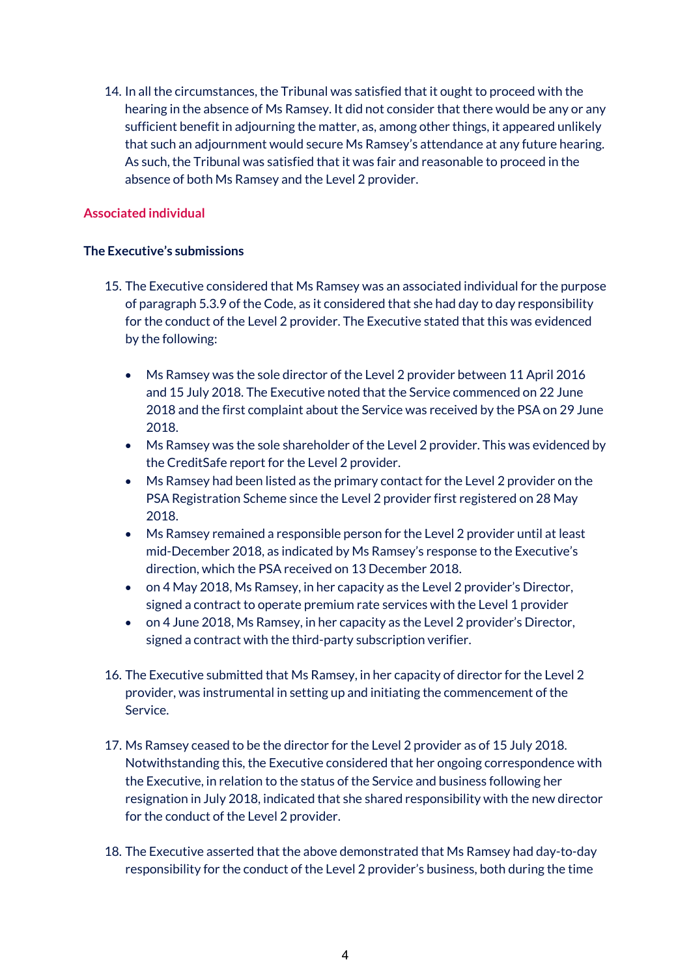14. In all the circumstances, the Tribunal was satisfied that it ought to proceed with the hearing in the absence of Ms Ramsey. It did not consider that there would be any or any sufficient benefit in adjourning the matter, as, among other things, it appeared unlikely that such an adjournment would secure Ms Ramsey's attendance at any future hearing. As such, the Tribunal was satisfied that it was fair and reasonable to proceed in the absence of both Ms Ramsey and the Level 2 provider.

# **Associated individual**

#### **The Executive's submissions**

- 15. The Executive considered that Ms Ramsey was an associated individual for the purpose of paragraph 5.3.9 of the Code, as it considered that she had day to day responsibility for the conduct of the Level 2 provider. The Executive stated that this was evidenced by the following:
	- Ms Ramsey was the sole director of the Level 2 provider between 11 April 2016 and 15 July 2018. The Executive noted that the Service commenced on 22 June 2018 and the first complaint about the Service was received by the PSA on 29 June 2018.
	- Ms Ramsey was the sole shareholder of the Level 2 provider. This was evidenced by the CreditSafe report for the Level 2 provider.
	- Ms Ramsey had been listed as the primary contact for the Level 2 provider on the PSA Registration Scheme since the Level 2 provider first registered on 28 May 2018.
	- Ms Ramsey remained a responsible person for the Level 2 provider until at least mid-December 2018, as indicated by Ms Ramsey's response to the Executive's direction, which the PSA received on 13 December 2018.
	- on 4 May 2018, Ms Ramsey, in her capacity as the Level 2 provider's Director, signed a contract to operate premium rate services with the Level 1 provider
	- on 4 June 2018, Ms Ramsey, in her capacity as the Level 2 provider's Director, signed a contract with the third-party subscription verifier.
- 16. The Executive submitted that Ms Ramsey, in her capacity of director for the Level 2 provider, was instrumental in setting up and initiating the commencement of the Service.
- 17. Ms Ramsey ceased to be the director for the Level 2 provider as of 15 July 2018. Notwithstanding this, the Executive considered that her ongoing correspondence with the Executive, in relation to the status of the Service and business following her resignation in July 2018, indicated that she shared responsibility with the new director for the conduct of the Level 2 provider.
- 18. The Executive asserted that the above demonstrated that Ms Ramsey had day-to-day responsibility for the conduct of the Level 2 provider's business, both during the time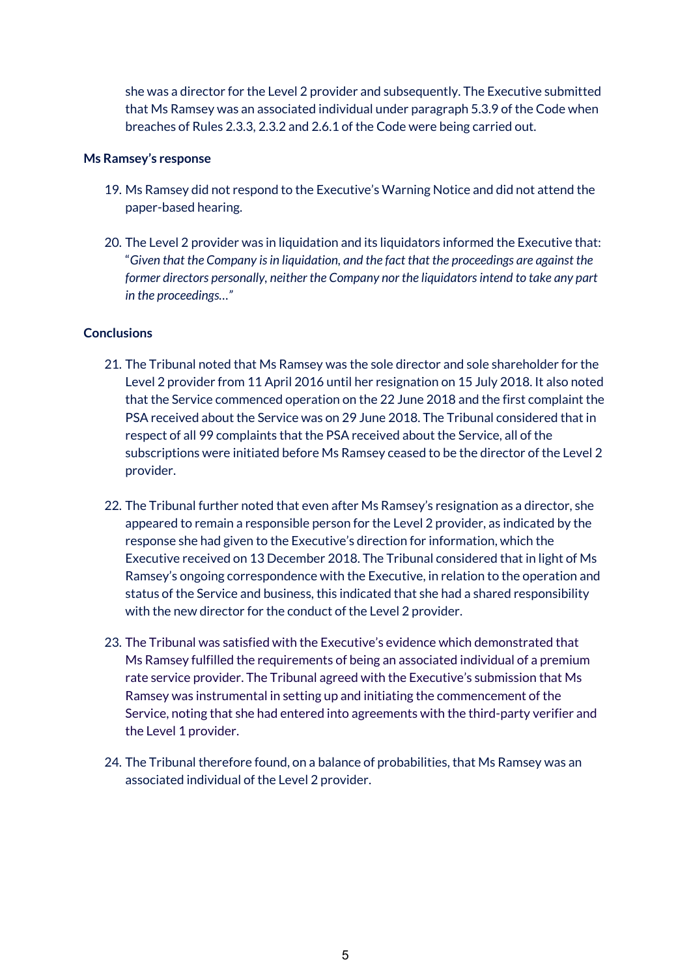she was a director for the Level 2 provider and subsequently. The Executive submitted that Ms Ramsey was an associated individual under paragraph 5.3.9 of the Code when breaches of Rules 2.3.3, 2.3.2 and 2.6.1 of the Code were being carried out.

#### **Ms Ramsey's response**

- 19. Ms Ramsey did not respond to the Executive's Warning Notice and did not attend the paper-based hearing.
- 20. The Level 2 provider was in liquidation and its liquidators informed the Executive that: "*Given that the Company is in liquidation, and the fact that the proceedings are against the former directors personally, neither the Company nor the liquidators intend to take any part in the proceedings…"*

#### **Conclusions**

- 21. The Tribunal noted that Ms Ramsey was the sole director and sole shareholder for the Level 2 provider from 11 April 2016 until her resignation on 15 July 2018. It also noted that the Service commenced operation on the 22 June 2018 and the first complaint the PSA received about the Service was on 29 June 2018. The Tribunal considered that in respect of all 99 complaints that the PSA received about the Service, all of the subscriptions were initiated before Ms Ramsey ceased to be the director of the Level 2 provider.
- 22. The Tribunal further noted that even after Ms Ramsey's resignation as a director, she appeared to remain a responsible person for the Level 2 provider, as indicated by the response she had given to the Executive's direction for information, which the Executive received on 13 December 2018. The Tribunal considered that in light of Ms Ramsey's ongoing correspondence with the Executive, in relation to the operation and status of the Service and business, this indicated that she had a shared responsibility with the new director for the conduct of the Level 2 provider.
- 23. The Tribunal was satisfied with the Executive's evidence which demonstrated that Ms Ramsey fulfilled the requirements of being an associated individual of a premium rate service provider. The Tribunal agreed with the Executive's submission that Ms Ramsey was instrumental in setting up and initiating the commencement of the Service, noting that she had entered into agreements with the third-party verifier and the Level 1 provider.
- 24. The Tribunal therefore found, on a balance of probabilities, that Ms Ramsey was an associated individual of the Level 2 provider.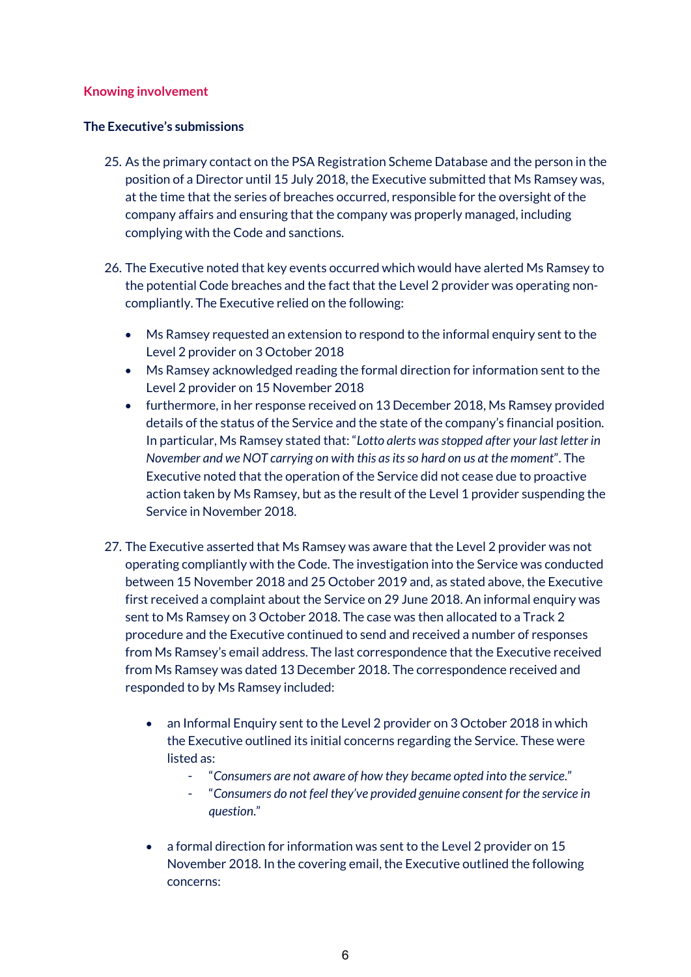### **Knowing involvement**

#### **The Executive's submissions**

- 25. As the primary contact on the PSA Registration Scheme Database and the person in the position of a Director until 15 July 2018, the Executive submitted that Ms Ramsey was, at the time that the series of breaches occurred, responsible for the oversight of the company affairs and ensuring that the company was properly managed, including complying with the Code and sanctions.
- 26. The Executive noted that key events occurred which would have alerted Ms Ramsey to the potential Code breaches and the fact that the Level 2 provider was operating noncompliantly. The Executive relied on the following:
	- Ms Ramsey requested an extension to respond to the informal enquiry sent to the Level 2 provider on 3 October 2018
	- Ms Ramsey acknowledged reading the formal direction for information sent to the Level 2 provider on 15 November 2018
	- furthermore, in her response received on 13 December 2018, Ms Ramsey provided details of the status of the Service and the state of the company's financial position. In particular, Ms Ramsey stated that: "*Lotto alerts was stopped after your last letter in November and we NOT carrying on with this as its so hard on us at the moment*". The Executive noted that the operation of the Service did not cease due to proactive action taken by Ms Ramsey, but as the result of the Level 1 provider suspending the Service in November 2018.
- 27. The Executive asserted that Ms Ramsey was aware that the Level 2 provider was not operating compliantly with the Code. The investigation into the Service was conducted between 15 November 2018 and 25 October 2019 and, as stated above, the Executive first received a complaint about the Service on 29 June 2018. An informal enquiry was sent to Ms Ramsey on 3 October 2018. The case was then allocated to a Track 2 procedure and the Executive continued to send and received a number of responses from Ms Ramsey's email address. The last correspondence that the Executive received from Ms Ramsey was dated 13 December 2018. The correspondence received and responded to by Ms Ramsey included:
	- an Informal Enquiry sent to the Level 2 provider on 3 October 2018 in which the Executive outlined its initial concerns regarding the Service. These were listed as:
		- "*Consumers are not aware of how they became opted into the service*."
		- "*Consumers do not feel they've provided genuine consent for the service in question*."
	- a formal direction for information was sent to the Level 2 provider on 15 November 2018. In the covering email, the Executive outlined the following concerns: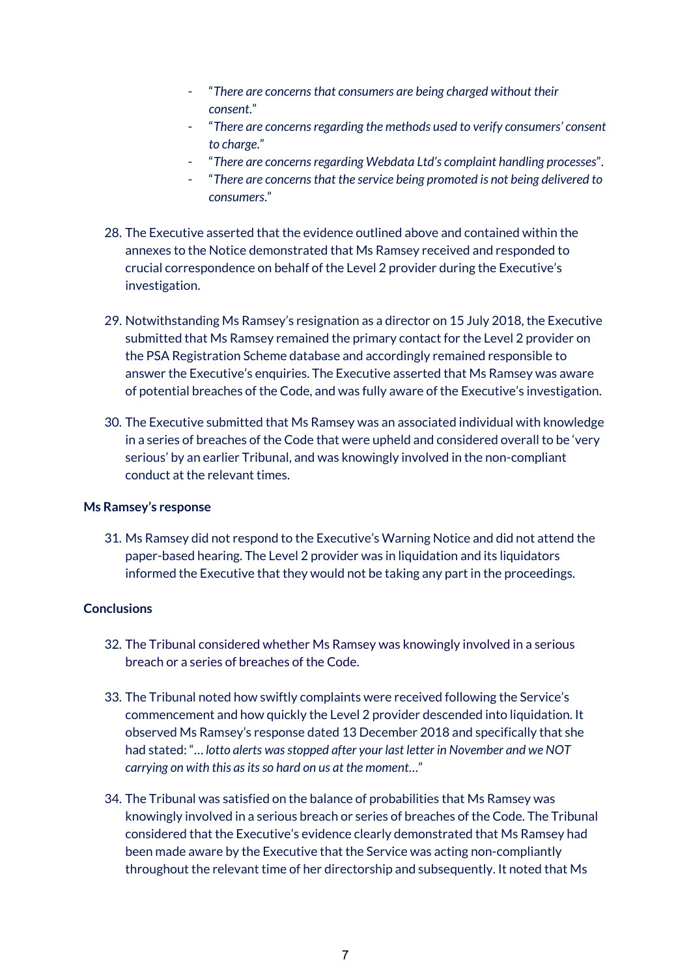- "*There are concerns that consumers are being charged without their consent*."
- "*There are concerns regarding the methods used to verify consumers' consent to charge*."
- "*There are concerns regarding Webdata Ltd's complaint handling processes*".
- "*There are concerns that the service being promoted is not being delivered to consumers*."
- 28. The Executive asserted that the evidence outlined above and contained within the annexes to the Notice demonstrated that Ms Ramsey received and responded to crucial correspondence on behalf of the Level 2 provider during the Executive's investigation.
- 29. Notwithstanding Ms Ramsey's resignation as a director on 15 July 2018, the Executive submitted that Ms Ramsey remained the primary contact for the Level 2 provider on the PSA Registration Scheme database and accordingly remained responsible to answer the Executive's enquiries. The Executive asserted that Ms Ramsey was aware of potential breaches of the Code, and was fully aware of the Executive's investigation.
- 30. The Executive submitted that Ms Ramsey was an associated individual with knowledge in a series of breaches of the Code that were upheld and considered overall to be 'very serious' by an earlier Tribunal, and was knowingly involved in the non-compliant conduct at the relevant times.

#### **Ms Ramsey's response**

31. Ms Ramsey did not respond to the Executive's Warning Notice and did not attend the paper-based hearing. The Level 2 provider was in liquidation and its liquidators informed the Executive that they would not be taking any part in the proceedings.

#### **Conclusions**

- 32. The Tribunal considered whether Ms Ramsey was knowingly involved in a serious breach or a series of breaches of the Code.
- 33. The Tribunal noted how swiftly complaints were received following the Service's commencement and how quickly the Level 2 provider descended into liquidation. It observed Ms Ramsey's response dated 13 December 2018 and specifically that she had stated: "… *lotto alerts was stopped after your last letter in November and we NOT carrying on with this as its so hard on us at the moment*…"
- 34. The Tribunal was satisfied on the balance of probabilities that Ms Ramsey was knowingly involved in a serious breach or series of breaches of the Code. The Tribunal considered that the Executive's evidence clearly demonstrated that Ms Ramsey had been made aware by the Executive that the Service was acting non-compliantly throughout the relevant time of her directorship and subsequently. It noted that Ms